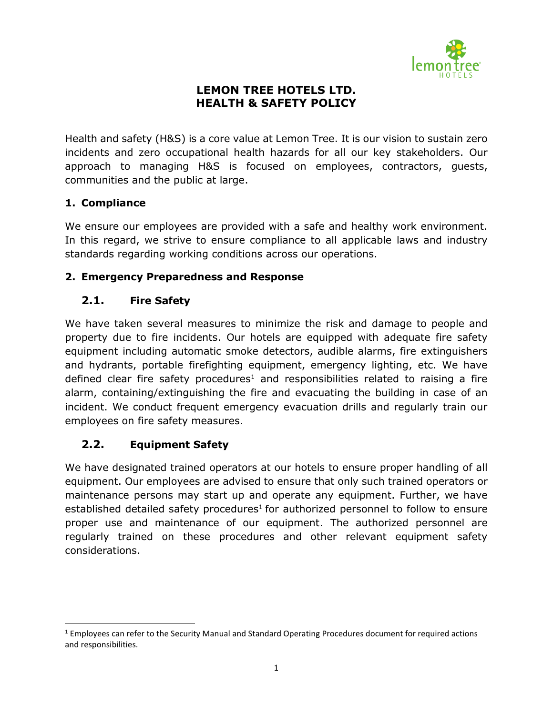

### **LEMON TREE HOTELS LTD. HEALTH & SAFETY POLICY**

Health and safety (H&S) is a core value at Lemon Tree. It is our vision to sustain zero incidents and zero occupational health hazards for all our key stakeholders. Our approach to managing H&S is focused on employees, contractors, guests, communities and the public at large.

### **1. Compliance**

l

We ensure our employees are provided with a safe and healthy work environment. In this regard, we strive to ensure compliance to all applicable laws and industry standards regarding working conditions across our operations.

### **2. Emergency Preparedness and Response**

### **2.1. Fire Safety**

We have taken several measures to minimize the risk and damage to people and property due to fire incidents. Our hotels are equipped with adequate fire safety equipment including automatic smoke detectors, audible alarms, fire extinguishers and hydrants, portable firefighting equipment, emergency lighting, etc. We have defined clear fire safety procedures<sup>1</sup> and responsibilities related to raising a fire alarm, containing/extinguishing the fire and evacuating the building in case of an incident. We conduct frequent emergency evacuation drills and regularly train our employees on fire safety measures.

### <span id="page-0-0"></span>**2.2. Equipment Safety**

We have designated trained operators at our hotels to ensure proper handling of all equipment. Our employees are advised to ensure that only such trained operators or maintenance persons may start up and operate any equipment. Further, we have established detailed safety procedures $1$  for authorized personnel to follow to ensure proper use and maintenance of our equipment. The authorized personnel are regularly trained on these procedures and other relevant equipment safety considerations.

 $1$  Employees can refer to the Security Manual and Standard Operating Procedures document for required actions and responsibilities.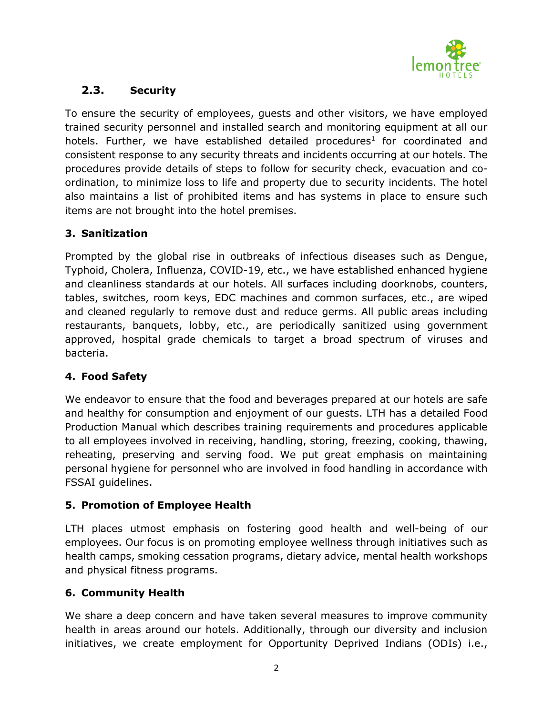

# **2.3. Security**

To ensure the security of employees, guests and other visitors, we have employed trained security personnel and installed search and monitoring equipment at all our hotels. Further, we have established detailed procedures<sup>[1](#page-0-0)</sup> for coordinated and consistent response to any security threats and incidents occurring at our hotels. The procedures provide details of steps to follow for security check, evacuation and coordination, to minimize loss to life and property due to security incidents. The hotel also maintains a list of prohibited items and has systems in place to ensure such items are not brought into the hotel premises.

## **3. Sanitization**

Prompted by the global rise in outbreaks of infectious diseases such as Dengue, Typhoid, Cholera, Influenza, COVID-19, etc., we have established enhanced hygiene and cleanliness standards at our hotels. All surfaces including doorknobs, counters, tables, switches, room keys, EDC machines and common surfaces, etc., are wiped and cleaned regularly to remove dust and reduce germs. All public areas including restaurants, banquets, lobby, etc., are periodically sanitized using government approved, hospital grade chemicals to target a broad spectrum of viruses and bacteria.

### **4. Food Safety**

We endeavor to ensure that the food and beverages prepared at our hotels are safe and healthy for consumption and enjoyment of our guests. LTH has a detailed Food Production Manual which describes training requirements and procedures applicable to all employees involved in receiving, handling, storing, freezing, cooking, thawing, reheating, preserving and serving food. We put great emphasis on maintaining personal hygiene for personnel who are involved in food handling in accordance with FSSAI guidelines.

### **5. Promotion of Employee Health**

LTH places utmost emphasis on fostering good health and well-being of our employees. Our focus is on promoting employee wellness through initiatives such as health camps, smoking cessation programs, dietary advice, mental health workshops and physical fitness programs.

# **6. Community Health**

We share a deep concern and have taken several measures to improve community health in areas around our hotels. Additionally, through our diversity and inclusion initiatives, we create employment for Opportunity Deprived Indians (ODIs) i.e.,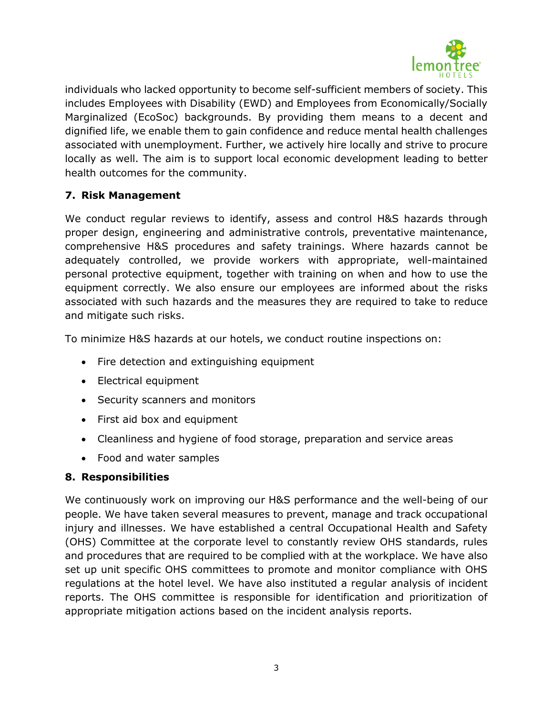

individuals who lacked opportunity to become self-sufficient members of society. This includes Employees with Disability (EWD) and Employees from Economically/Socially Marginalized (EcoSoc) backgrounds. By providing them means to a decent and dignified life, we enable them to gain confidence and reduce mental health challenges associated with unemployment. Further, we actively hire locally and strive to procure locally as well. The aim is to support local economic development leading to better health outcomes for the community.

### **7. Risk Management**

We conduct regular reviews to identify, assess and control H&S hazards through proper design, engineering and administrative controls, preventative maintenance, comprehensive H&S procedures and safety trainings. Where hazards cannot be adequately controlled, we provide workers with appropriate, well-maintained personal protective equipment, together with training on when and how to use the equipment correctly. We also ensure our employees are informed about the risks associated with such hazards and the measures they are required to take to reduce and mitigate such risks.

To minimize H&S hazards at our hotels, we conduct routine inspections on:

- Fire detection and extinguishing equipment
- Electrical equipment
- Security scanners and monitors
- First aid box and equipment
- Cleanliness and hygiene of food storage, preparation and service areas
- Food and water samples

#### **8. Responsibilities**

We continuously work on improving our H&S performance and the well-being of our people. We have taken several measures to prevent, manage and track occupational injury and illnesses. We have established a central Occupational Health and Safety (OHS) Committee at the corporate level to constantly review OHS standards, rules and procedures that are required to be complied with at the workplace. We have also set up unit specific OHS committees to promote and monitor compliance with OHS regulations at the hotel level. We have also instituted a regular analysis of incident reports. The OHS committee is responsible for identification and prioritization of appropriate mitigation actions based on the incident analysis reports.